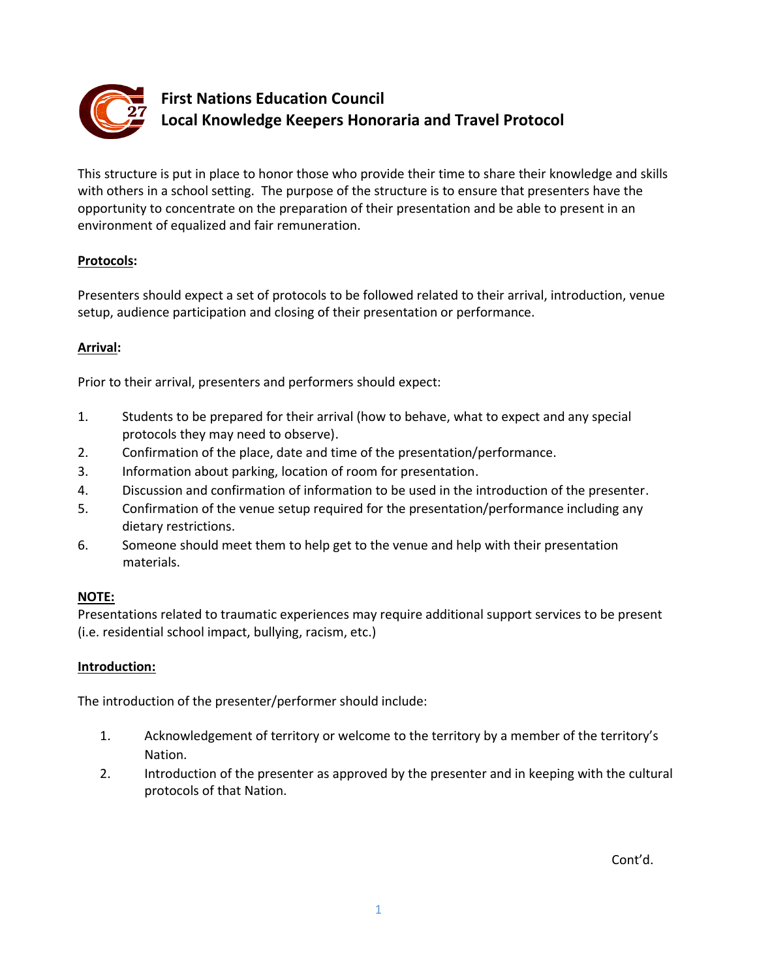

# **First Nations Education Council Local Knowledge Keepers Honoraria and Travel Protocol**

This structure is put in place to honor those who provide their time to share their knowledge and skills with others in a school setting. The purpose of the structure is to ensure that presenters have the opportunity to concentrate on the preparation of their presentation and be able to present in an environment of equalized and fair remuneration.

# **Protocols:**

Presenters should expect a set of protocols to be followed related to their arrival, introduction, venue setup, audience participation and closing of their presentation or performance.

# **Arrival:**

Prior to their arrival, presenters and performers should expect:

- 1. Students to be prepared for their arrival (how to behave, what to expect and any special protocols they may need to observe).
- 2. Confirmation of the place, date and time of the presentation/performance.
- 3. Information about parking, location of room for presentation.
- 4. Discussion and confirmation of information to be used in the introduction of the presenter.
- 5. Confirmation of the venue setup required for the presentation/performance including any dietary restrictions.
- 6. Someone should meet them to help get to the venue and help with their presentation materials.

# **NOTE:**

Presentations related to traumatic experiences may require additional support services to be present (i.e. residential school impact, bullying, racism, etc.)

#### **Introduction:**

The introduction of the presenter/performer should include:

- 1. Acknowledgement of territory or welcome to the territory by a member of the territory's Nation.
- 2. Introduction of the presenter as approved by the presenter and in keeping with the cultural protocols of that Nation.

Cont'd.